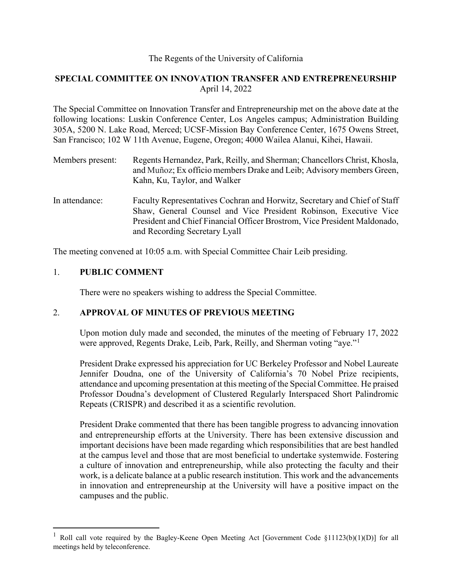# The Regents of the University of California

# **SPECIAL COMMITTEE ON INNOVATION TRANSFER AND ENTREPRENEURSHIP** April 14, 2022

The Special Committee on Innovation Transfer and Entrepreneurship met on the above date at the following locations: Luskin Conference Center, Los Angeles campus; Administration Building 305A, 5200 N. Lake Road, Merced; UCSF-Mission Bay Conference Center, 1675 Owens Street, San Francisco; 102 W 11th Avenue, Eugene, Oregon; 4000 Wailea Alanui, Kihei, Hawaii.

| Members present: | Regents Hernandez, Park, Reilly, and Sherman; Chancellors Christ, Khosla, |
|------------------|---------------------------------------------------------------------------|
|                  | and Muñoz; Ex officio members Drake and Leib; Advisory members Green,     |
|                  | Kahn, Ku, Taylor, and Walker                                              |
|                  |                                                                           |

In attendance: Faculty Representatives Cochran and Horwitz, Secretary and Chief of Staff Shaw, General Counsel and Vice President Robinson, Executive Vice President and Chief Financial Officer Brostrom, Vice President Maldonado, and Recording Secretary Lyall

The meeting convened at 10:05 a.m. with Special Committee Chair Leib presiding.

# 1. **PUBLIC COMMENT**

There were no speakers wishing to address the Special Committee.

### 2. **APPROVAL OF MINUTES OF PREVIOUS MEETING**

Upon motion duly made and seconded, the minutes of the meeting of February 17, 2022 were approved, Regents Drake, Leib, Park, Reilly, and Sherman voting "aye."

President Drake expressed his appreciation for UC Berkeley Professor and Nobel Laureate Jennifer Doudna, one of the University of California's 70 Nobel Prize recipients, attendance and upcoming presentation at this meeting of the Special Committee. He praised Professor Doudna's development of Clustered Regularly Interspaced Short Palindromic Repeats (CRISPR) and described it as a scientific revolution.

President Drake commented that there has been tangible progress to advancing innovation and entrepreneurship efforts at the University. There has been extensive discussion and important decisions have been made regarding which responsibilities that are best handled at the campus level and those that are most beneficial to undertake systemwide. Fostering a culture of innovation and entrepreneurship, while also protecting the faculty and their work, is a delicate balance at a public research institution. This work and the advancements in innovation and entrepreneurship at the University will have a positive impact on the campuses and the public.

<span id="page-0-0"></span><sup>&</sup>lt;sup>1</sup> Roll call vote required by the Bagley-Keene Open Meeting Act [Government Code §11123(b)(1)(D)] for all meetings held by teleconference.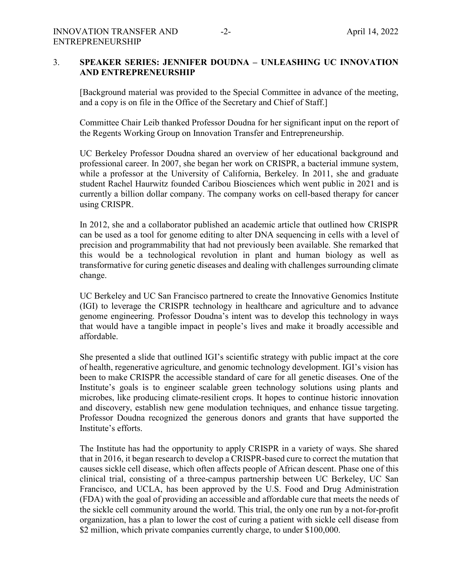#### 3. **SPEAKER SERIES: JENNIFER DOUDNA – UNLEASHING UC INNOVATION AND ENTREPRENEURSHIP**

[Background material was provided to the Special Committee in advance of the meeting, and a copy is on file in the Office of the Secretary and Chief of Staff.]

Committee Chair Leib thanked Professor Doudna for her significant input on the report of the Regents Working Group on Innovation Transfer and Entrepreneurship.

UC Berkeley Professor Doudna shared an overview of her educational background and professional career. In 2007, she began her work on CRISPR, a bacterial immune system, while a professor at the University of California, Berkeley. In 2011, she and graduate student Rachel Haurwitz founded Caribou Biosciences which went public in 2021 and is currently a billion dollar company. The company works on cell-based therapy for cancer using CRISPR.

In 2012, she and a collaborator published an academic article that outlined how CRISPR can be used as a tool for genome editing to alter DNA sequencing in cells with a level of precision and programmability that had not previously been available. She remarked that this would be a technological revolution in plant and human biology as well as transformative for curing genetic diseases and dealing with challenges surrounding climate change.

UC Berkeley and UC San Francisco partnered to create the Innovative Genomics Institute (IGI) to leverage the CRISPR technology in healthcare and agriculture and to advance genome engineering. Professor Doudna's intent was to develop this technology in ways that would have a tangible impact in people's lives and make it broadly accessible and affordable.

She presented a slide that outlined IGI's scientific strategy with public impact at the core of health, regenerative agriculture, and genomic technology development. IGI's vision has been to make CRISPR the accessible standard of care for all genetic diseases. One of the Institute's goals is to engineer scalable green technology solutions using plants and microbes, like producing climate-resilient crops. It hopes to continue historic innovation and discovery, establish new gene modulation techniques, and enhance tissue targeting. Professor Doudna recognized the generous donors and grants that have supported the Institute's efforts.

The Institute has had the opportunity to apply CRISPR in a variety of ways. She shared that in 2016, it began research to develop a CRISPR-based cure to correct the mutation that causes sickle cell disease, which often affects people of African descent. Phase one of this clinical trial, consisting of a three-campus partnership between UC Berkeley, UC San Francisco, and UCLA, has been approved by the U.S. Food and Drug Administration (FDA) with the goal of providing an accessible and affordable cure that meets the needs of the sickle cell community around the world. This trial, the only one run by a not-for-profit organization, has a plan to lower the cost of curing a patient with sickle cell disease from \$2 million, which private companies currently charge, to under \$100,000.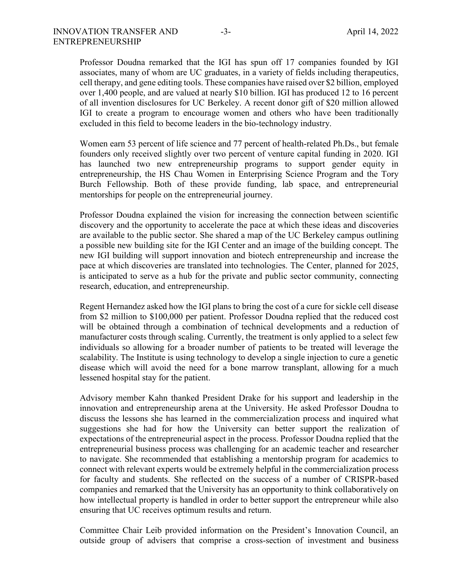Professor Doudna remarked that the IGI has spun off 17 companies founded by IGI associates, many of whom are UC graduates, in a variety of fields including therapeutics, cell therapy, and gene editing tools. These companies have raised over \$2 billion, employed over 1,400 people, and are valued at nearly \$10 billion. IGI has produced 12 to 16 percent of all invention disclosures for UC Berkeley. A recent donor gift of \$20 million allowed IGI to create a program to encourage women and others who have been traditionally excluded in this field to become leaders in the bio-technology industry.

Women earn 53 percent of life science and 77 percent of health-related Ph.Ds., but female founders only received slightly over two percent of venture capital funding in 2020. IGI has launched two new entrepreneurship programs to support gender equity in entrepreneurship, the HS Chau Women in Enterprising Science Program and the Tory Burch Fellowship. Both of these provide funding, lab space, and entrepreneurial mentorships for people on the entrepreneurial journey.

Professor Doudna explained the vision for increasing the connection between scientific discovery and the opportunity to accelerate the pace at which these ideas and discoveries are available to the public sector. She shared a map of the UC Berkeley campus outlining a possible new building site for the IGI Center and an image of the building concept. The new IGI building will support innovation and biotech entrepreneurship and increase the pace at which discoveries are translated into technologies. The Center, planned for 2025, is anticipated to serve as a hub for the private and public sector community, connecting research, education, and entrepreneurship.

Regent Hernandez asked how the IGI plans to bring the cost of a cure for sickle cell disease from \$2 million to \$100,000 per patient. Professor Doudna replied that the reduced cost will be obtained through a combination of technical developments and a reduction of manufacturer costs through scaling. Currently, the treatment is only applied to a select few individuals so allowing for a broader number of patients to be treated will leverage the scalability. The Institute is using technology to develop a single injection to cure a genetic disease which will avoid the need for a bone marrow transplant, allowing for a much lessened hospital stay for the patient.

Advisory member Kahn thanked President Drake for his support and leadership in the innovation and entrepreneurship arena at the University. He asked Professor Doudna to discuss the lessons she has learned in the commercialization process and inquired what suggestions she had for how the University can better support the realization of expectations of the entrepreneurial aspect in the process. Professor Doudna replied that the entrepreneurial business process was challenging for an academic teacher and researcher to navigate. She recommended that establishing a mentorship program for academics to connect with relevant experts would be extremely helpful in the commercialization process for faculty and students. She reflected on the success of a number of CRISPR-based companies and remarked that the University has an opportunity to think collaboratively on how intellectual property is handled in order to better support the entrepreneur while also ensuring that UC receives optimum results and return.

Committee Chair Leib provided information on the President's Innovation Council, an outside group of advisers that comprise a cross-section of investment and business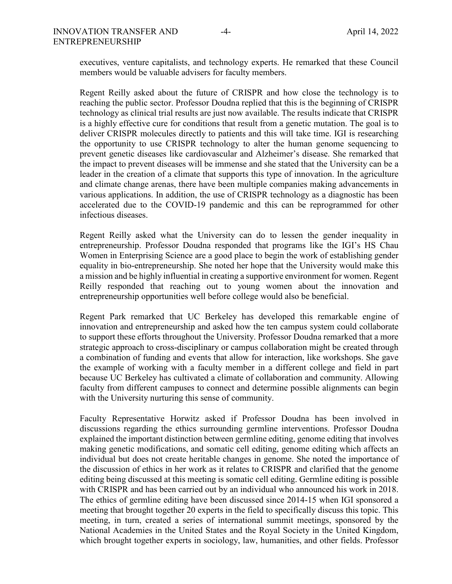executives, venture capitalists, and technology experts. He remarked that these Council members would be valuable advisers for faculty members.

Regent Reilly asked about the future of CRISPR and how close the technology is to reaching the public sector. Professor Doudna replied that this is the beginning of CRISPR technology as clinical trial results are just now available. The results indicate that CRISPR is a highly effective cure for conditions that result from a genetic mutation. The goal is to deliver CRISPR molecules directly to patients and this will take time. IGI is researching the opportunity to use CRISPR technology to alter the human genome sequencing to prevent genetic diseases like cardiovascular and Alzheimer's disease. She remarked that the impact to prevent diseases will be immense and she stated that the University can be a leader in the creation of a climate that supports this type of innovation. In the agriculture and climate change arenas, there have been multiple companies making advancements in various applications. In addition, the use of CRISPR technology as a diagnostic has been accelerated due to the COVID-19 pandemic and this can be reprogrammed for other infectious diseases.

Regent Reilly asked what the University can do to lessen the gender inequality in entrepreneurship. Professor Doudna responded that programs like the IGI's HS Chau Women in Enterprising Science are a good place to begin the work of establishing gender equality in bio-entrepreneurship. She noted her hope that the University would make this a mission and be highly influential in creating a supportive environment for women. Regent Reilly responded that reaching out to young women about the innovation and entrepreneurship opportunities well before college would also be beneficial.

Regent Park remarked that UC Berkeley has developed this remarkable engine of innovation and entrepreneurship and asked how the ten campus system could collaborate to support these efforts throughout the University. Professor Doudna remarked that a more strategic approach to cross-disciplinary or campus collaboration might be created through a combination of funding and events that allow for interaction, like workshops. She gave the example of working with a faculty member in a different college and field in part because UC Berkeley has cultivated a climate of collaboration and community. Allowing faculty from different campuses to connect and determine possible alignments can begin with the University nurturing this sense of community.

Faculty Representative Horwitz asked if Professor Doudna has been involved in discussions regarding the ethics surrounding germline interventions. Professor Doudna explained the important distinction between germline editing, genome editing that involves making genetic modifications, and somatic cell editing, genome editing which affects an individual but does not create heritable changes in genome. She noted the importance of the discussion of ethics in her work as it relates to CRISPR and clarified that the genome editing being discussed at this meeting is somatic cell editing. Germline editing is possible with CRISPR and has been carried out by an individual who announced his work in 2018. The ethics of germline editing have been discussed since 2014-15 when IGI sponsored a meeting that brought together 20 experts in the field to specifically discuss this topic. This meeting, in turn, created a series of international summit meetings, sponsored by the National Academies in the United States and the Royal Society in the United Kingdom, which brought together experts in sociology, law, humanities, and other fields. Professor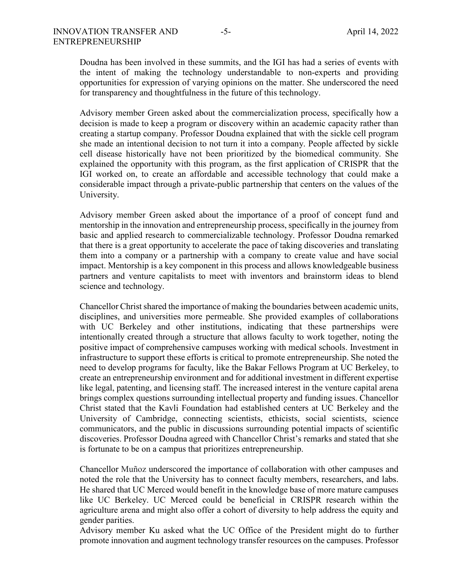Doudna has been involved in these summits, and the IGI has had a series of events with the intent of making the technology understandable to non-experts and providing opportunities for expression of varying opinions on the matter. She underscored the need for transparency and thoughtfulness in the future of this technology.

Advisory member Green asked about the commercialization process, specifically how a decision is made to keep a program or discovery within an academic capacity rather than creating a startup company. Professor Doudna explained that with the sickle cell program she made an intentional decision to not turn it into a company. People affected by sickle cell disease historically have not been prioritized by the biomedical community. She explained the opportunity with this program, as the first application of CRISPR that the IGI worked on, to create an affordable and accessible technology that could make a considerable impact through a private-public partnership that centers on the values of the University.

Advisory member Green asked about the importance of a proof of concept fund and mentorship in the innovation and entrepreneurship process, specifically in the journey from basic and applied research to commercializable technology. Professor Doudna remarked that there is a great opportunity to accelerate the pace of taking discoveries and translating them into a company or a partnership with a company to create value and have social impact. Mentorship is a key component in this process and allows knowledgeable business partners and venture capitalists to meet with inventors and brainstorm ideas to blend science and technology.

Chancellor Christ shared the importance of making the boundaries between academic units, disciplines, and universities more permeable. She provided examples of collaborations with UC Berkeley and other institutions, indicating that these partnerships were intentionally created through a structure that allows faculty to work together, noting the positive impact of comprehensive campuses working with medical schools. Investment in infrastructure to support these efforts is critical to promote entrepreneurship. She noted the need to develop programs for faculty, like the Bakar Fellows Program at UC Berkeley, to create an entrepreneurship environment and for additional investment in different expertise like legal, patenting, and licensing staff. The increased interest in the venture capital arena brings complex questions surrounding intellectual property and funding issues. Chancellor Christ stated that the Kavli Foundation had established centers at UC Berkeley and the University of Cambridge, connecting scientists, ethicists, social scientists, science communicators, and the public in discussions surrounding potential impacts of scientific discoveries. Professor Doudna agreed with Chancellor Christ's remarks and stated that she is fortunate to be on a campus that prioritizes entrepreneurship.

Chancellor Muñoz underscored the importance of collaboration with other campuses and noted the role that the University has to connect faculty members, researchers, and labs. He shared that UC Merced would benefit in the knowledge base of more mature campuses like UC Berkeley. UC Merced could be beneficial in CRISPR research within the agriculture arena and might also offer a cohort of diversity to help address the equity and gender parities.

Advisory member Ku asked what the UC Office of the President might do to further promote innovation and augment technology transfer resources on the campuses. Professor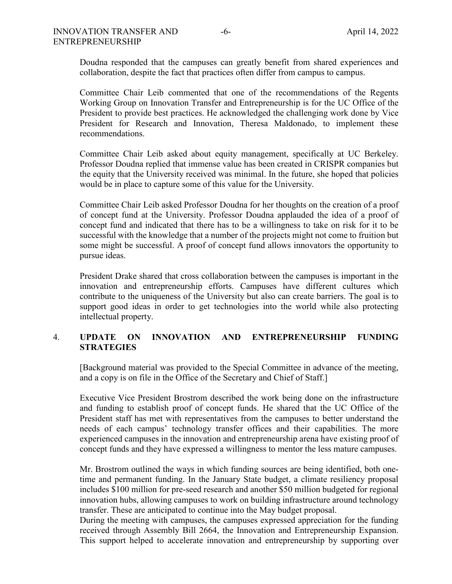Doudna responded that the campuses can greatly benefit from shared experiences and collaboration, despite the fact that practices often differ from campus to campus.

Committee Chair Leib commented that one of the recommendations of the Regents Working Group on Innovation Transfer and Entrepreneurship is for the UC Office of the President to provide best practices. He acknowledged the challenging work done by Vice President for Research and Innovation, Theresa Maldonado, to implement these recommendations.

Committee Chair Leib asked about equity management, specifically at UC Berkeley. Professor Doudna replied that immense value has been created in CRISPR companies but the equity that the University received was minimal. In the future, she hoped that policies would be in place to capture some of this value for the University.

Committee Chair Leib asked Professor Doudna for her thoughts on the creation of a proof of concept fund at the University. Professor Doudna applauded the idea of a proof of concept fund and indicated that there has to be a willingness to take on risk for it to be successful with the knowledge that a number of the projects might not come to fruition but some might be successful. A proof of concept fund allows innovators the opportunity to pursue ideas.

President Drake shared that cross collaboration between the campuses is important in the innovation and entrepreneurship efforts. Campuses have different cultures which contribute to the uniqueness of the University but also can create barriers. The goal is to support good ideas in order to get technologies into the world while also protecting intellectual property.

# 4. **UPDATE ON INNOVATION AND ENTREPRENEURSHIP FUNDING STRATEGIES**

[Background material was provided to the Special Committee in advance of the meeting, and a copy is on file in the Office of the Secretary and Chief of Staff.]

Executive Vice President Brostrom described the work being done on the infrastructure and funding to establish proof of concept funds. He shared that the UC Office of the President staff has met with representatives from the campuses to better understand the needs of each campus' technology transfer offices and their capabilities. The more experienced campuses in the innovation and entrepreneurship arena have existing proof of concept funds and they have expressed a willingness to mentor the less mature campuses.

Mr. Brostrom outlined the ways in which funding sources are being identified, both onetime and permanent funding. In the January State budget, a climate resiliency proposal includes \$100 million for pre-seed research and another \$50 million budgeted for regional innovation hubs, allowing campuses to work on building infrastructure around technology transfer. These are anticipated to continue into the May budget proposal.

During the meeting with campuses, the campuses expressed appreciation for the funding received through Assembly Bill 2664, the Innovation and Entrepreneurship Expansion. This support helped to accelerate innovation and entrepreneurship by supporting over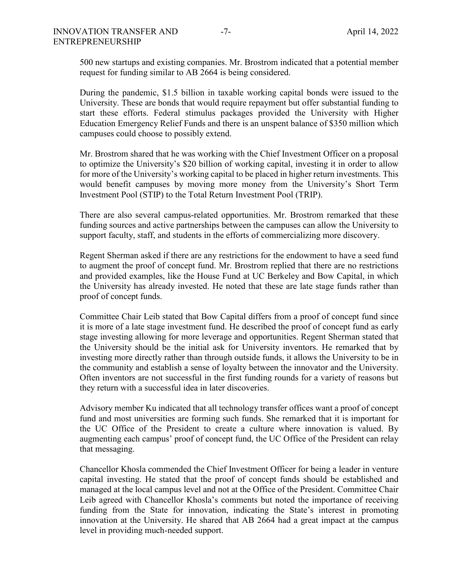500 new startups and existing companies. Mr. Brostrom indicated that a potential member request for funding similar to AB 2664 is being considered.

During the pandemic, \$1.5 billion in taxable working capital bonds were issued to the University. These are bonds that would require repayment but offer substantial funding to start these efforts. Federal stimulus packages provided the University with Higher Education Emergency Relief Funds and there is an unspent balance of \$350 million which campuses could choose to possibly extend.

Mr. Brostrom shared that he was working with the Chief Investment Officer on a proposal to optimize the University's \$20 billion of working capital, investing it in order to allow for more of the University's working capital to be placed in higher return investments. This would benefit campuses by moving more money from the University's Short Term Investment Pool (STIP) to the Total Return Investment Pool (TRIP).

There are also several campus-related opportunities. Mr. Brostrom remarked that these funding sources and active partnerships between the campuses can allow the University to support faculty, staff, and students in the efforts of commercializing more discovery.

Regent Sherman asked if there are any restrictions for the endowment to have a seed fund to augment the proof of concept fund. Mr. Brostrom replied that there are no restrictions and provided examples, like the House Fund at UC Berkeley and Bow Capital, in which the University has already invested. He noted that these are late stage funds rather than proof of concept funds.

Committee Chair Leib stated that Bow Capital differs from a proof of concept fund since it is more of a late stage investment fund. He described the proof of concept fund as early stage investing allowing for more leverage and opportunities. Regent Sherman stated that the University should be the initial ask for University inventors. He remarked that by investing more directly rather than through outside funds, it allows the University to be in the community and establish a sense of loyalty between the innovator and the University. Often inventors are not successful in the first funding rounds for a variety of reasons but they return with a successful idea in later discoveries.

Advisory member Ku indicated that all technology transfer offices want a proof of concept fund and most universities are forming such funds. She remarked that it is important for the UC Office of the President to create a culture where innovation is valued. By augmenting each campus' proof of concept fund, the UC Office of the President can relay that messaging.

Chancellor Khosla commended the Chief Investment Officer for being a leader in venture capital investing. He stated that the proof of concept funds should be established and managed at the local campus level and not at the Office of the President. Committee Chair Leib agreed with Chancellor Khosla's comments but noted the importance of receiving funding from the State for innovation, indicating the State's interest in promoting innovation at the University. He shared that AB 2664 had a great impact at the campus level in providing much-needed support.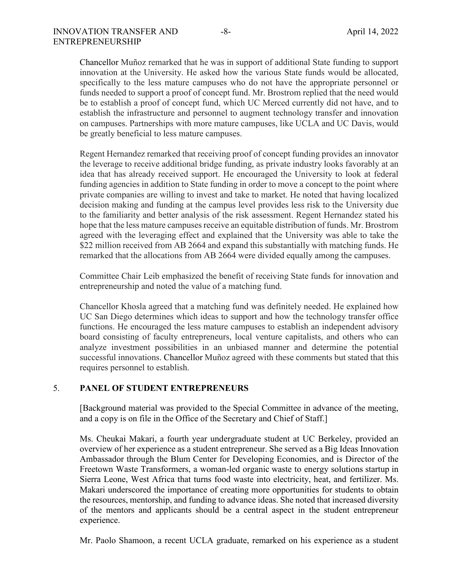Chancellor Muñoz remarked that he was in support of additional State funding to support innovation at the University. He asked how the various State funds would be allocated, specifically to the less mature campuses who do not have the appropriate personnel or funds needed to support a proof of concept fund. Mr. Brostrom replied that the need would be to establish a proof of concept fund, which UC Merced currently did not have, and to establish the infrastructure and personnel to augment technology transfer and innovation on campuses. Partnerships with more mature campuses, like UCLA and UC Davis, would be greatly beneficial to less mature campuses.

Regent Hernandez remarked that receiving proof of concept funding provides an innovator the leverage to receive additional bridge funding, as private industry looks favorably at an idea that has already received support. He encouraged the University to look at federal funding agencies in addition to State funding in order to move a concept to the point where private companies are willing to invest and take to market. He noted that having localized decision making and funding at the campus level provides less risk to the University due to the familiarity and better analysis of the risk assessment. Regent Hernandez stated his hope that the less mature campuses receive an equitable distribution of funds. Mr. Brostrom agreed with the leveraging effect and explained that the University was able to take the \$22 million received from AB 2664 and expand this substantially with matching funds. He remarked that the allocations from AB 2664 were divided equally among the campuses.

Committee Chair Leib emphasized the benefit of receiving State funds for innovation and entrepreneurship and noted the value of a matching fund.

Chancellor Khosla agreed that a matching fund was definitely needed. He explained how UC San Diego determines which ideas to support and how the technology transfer office functions. He encouraged the less mature campuses to establish an independent advisory board consisting of faculty entrepreneurs, local venture capitalists, and others who can analyze investment possibilities in an unbiased manner and determine the potential successful innovations. Chancellor Muñoz agreed with these comments but stated that this requires personnel to establish.

### 5. **PANEL OF STUDENT ENTREPRENEURS**

[Background material was provided to the Special Committee in advance of the meeting, and a copy is on file in the Office of the Secretary and Chief of Staff.]

Ms. Cheukai Makari, a fourth year undergraduate student at UC Berkeley, provided an overview of her experience as a student entrepreneur. She served as a Big Ideas Innovation Ambassador through the Blum Center for Developing Economies, and is Director of the Freetown Waste Transformers, a woman-led organic waste to energy solutions startup in Sierra Leone, West Africa that turns food waste into electricity, heat, and fertilizer. Ms. Makari underscored the importance of creating more opportunities for students to obtain the resources, mentorship, and funding to advance ideas. She noted that increased diversity of the mentors and applicants should be a central aspect in the student entrepreneur experience.

Mr. Paolo Shamoon, a recent UCLA graduate, remarked on his experience as a student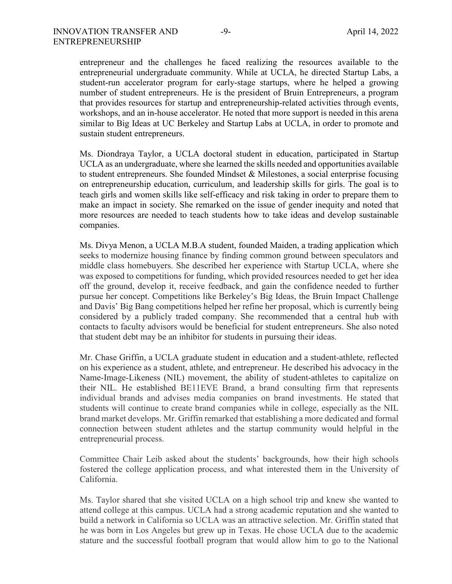entrepreneur and the challenges he faced realizing the resources available to the entrepreneurial undergraduate community. While at UCLA, he directed Startup Labs, a student-run accelerator program for early-stage startups, where he helped a growing number of student entrepreneurs. He is the president of Bruin Entrepreneurs, a program that provides resources for startup and entrepreneurship-related activities through events, workshops, and an in-house accelerator. He noted that more support is needed in this arena similar to Big Ideas at UC Berkeley and Startup Labs at UCLA, in order to promote and sustain student entrepreneurs.

Ms. Diondraya Taylor, a UCLA doctoral student in education, participated in Startup UCLA as an undergraduate, where she learned the skills needed and opportunities available to student entrepreneurs. She founded Mindset & Milestones, a social enterprise focusing on entrepreneurship education, curriculum, and leadership skills for girls. The goal is to teach girls and women skills like self-efficacy and risk taking in order to prepare them to make an impact in society. She remarked on the issue of gender inequity and noted that more resources are needed to teach students how to take ideas and develop sustainable companies.

Ms. Divya Menon, a UCLA M.B.A student, founded Maiden, a trading application which seeks to modernize housing finance by finding common ground between speculators and middle class homebuyers. She described her experience with Startup UCLA, where she was exposed to competitions for funding, which provided resources needed to get her idea off the ground, develop it, receive feedback, and gain the confidence needed to further pursue her concept. Competitions like Berkeley's Big Ideas, the Bruin Impact Challenge and Davis' Big Bang competitions helped her refine her proposal, which is currently being considered by a publicly traded company. She recommended that a central hub with contacts to faculty advisors would be beneficial for student entrepreneurs. She also noted that student debt may be an inhibitor for students in pursuing their ideas.

Mr. Chase Griffin, a UCLA graduate student in education and a student-athlete, reflected on his experience as a student, athlete, and entrepreneur. He described his advocacy in the Name-Image-Likeness (NIL) movement, the ability of student-athletes to capitalize on their NIL. He established BE11EVE Brand, a brand consulting firm that represents individual brands and advises media companies on brand investments. He stated that students will continue to create brand companies while in college, especially as the NIL brand market develops. Mr. Griffin remarked that establishing a more dedicated and formal connection between student athletes and the startup community would helpful in the entrepreneurial process.

Committee Chair Leib asked about the students' backgrounds, how their high schools fostered the college application process, and what interested them in the University of California.

Ms. Taylor shared that she visited UCLA on a high school trip and knew she wanted to attend college at this campus. UCLA had a strong academic reputation and she wanted to build a network in California so UCLA was an attractive selection. Mr. Griffin stated that he was born in Los Angeles but grew up in Texas. He chose UCLA due to the academic stature and the successful football program that would allow him to go to the National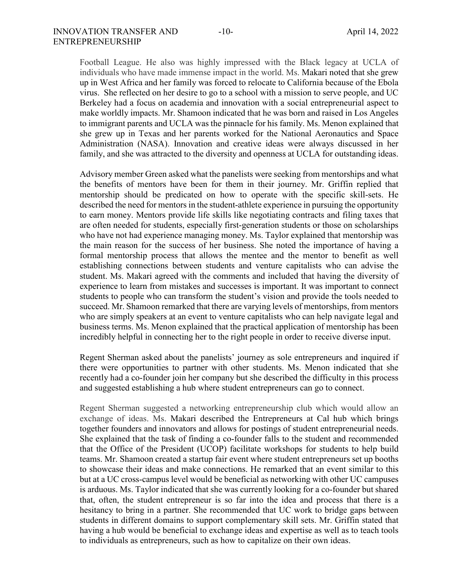Football League. He also was highly impressed with the Black legacy at UCLA of individuals who have made immense impact in the world. Ms. Makari noted that she grew up in West Africa and her family was forced to relocate to California because of the Ebola virus. She reflected on her desire to go to a school with a mission to serve people, and UC Berkeley had a focus on academia and innovation with a social entrepreneurial aspect to make worldly impacts. Mr. Shamoon indicated that he was born and raised in Los Angeles to immigrant parents and UCLA was the pinnacle for his family. Ms. Menon explained that she grew up in Texas and her parents worked for the National Aeronautics and Space Administration (NASA). Innovation and creative ideas were always discussed in her family, and she was attracted to the diversity and openness at UCLA for outstanding ideas.

Advisory member Green asked what the panelists were seeking from mentorships and what the benefits of mentors have been for them in their journey. Mr. Griffin replied that mentorship should be predicated on how to operate with the specific skill-sets. He described the need for mentors in the student-athlete experience in pursuing the opportunity to earn money. Mentors provide life skills like negotiating contracts and filing taxes that are often needed for students, especially first-generation students or those on scholarships who have not had experience managing money. Ms. Taylor explained that mentorship was the main reason for the success of her business. She noted the importance of having a formal mentorship process that allows the mentee and the mentor to benefit as well establishing connections between students and venture capitalists who can advise the student. Ms. Makari agreed with the comments and included that having the diversity of experience to learn from mistakes and successes is important. It was important to connect students to people who can transform the student's vision and provide the tools needed to succeed. Mr. Shamoon remarked that there are varying levels of mentorships, from mentors who are simply speakers at an event to venture capitalists who can help navigate legal and business terms. Ms. Menon explained that the practical application of mentorship has been incredibly helpful in connecting her to the right people in order to receive diverse input.

Regent Sherman asked about the panelists' journey as sole entrepreneurs and inquired if there were opportunities to partner with other students. Ms. Menon indicated that she recently had a co-founder join her company but she described the difficulty in this process and suggested establishing a hub where student entrepreneurs can go to connect.

Regent Sherman suggested a networking entrepreneurship club which would allow an exchange of ideas. Ms. Makari described the Entrepreneurs at Cal hub which brings together founders and innovators and allows for postings of student entrepreneurial needs. She explained that the task of finding a co-founder falls to the student and recommended that the Office of the President (UCOP) facilitate workshops for students to help build teams. Mr. Shamoon created a startup fair event where student entrepreneurs set up booths to showcase their ideas and make connections. He remarked that an event similar to this but at a UC cross-campus level would be beneficial as networking with other UC campuses is arduous. Ms. Taylor indicated that she was currently looking for a co-founder but shared that, often, the student entrepreneur is so far into the idea and process that there is a hesitancy to bring in a partner. She recommended that UC work to bridge gaps between students in different domains to support complementary skill sets. Mr. Griffin stated that having a hub would be beneficial to exchange ideas and expertise as well as to teach tools to individuals as entrepreneurs, such as how to capitalize on their own ideas.